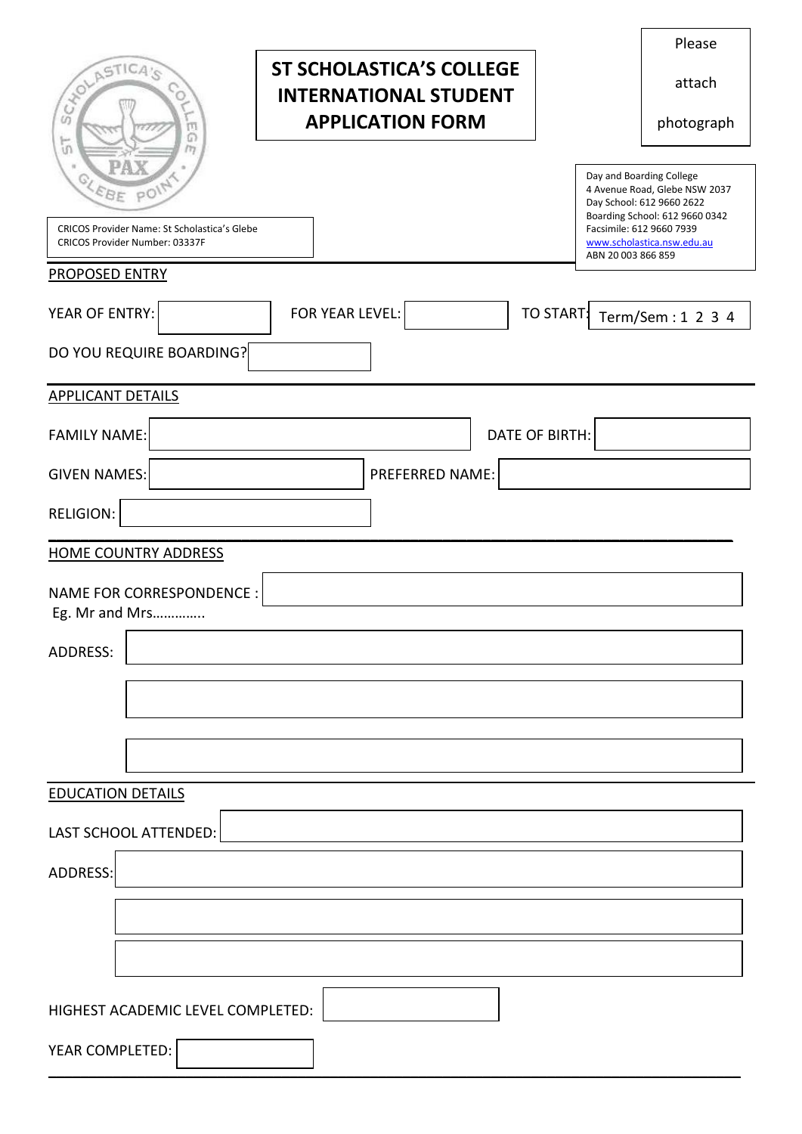|                                                                                          |                                                                 |                       | Please                                                                                                                                               |  |
|------------------------------------------------------------------------------------------|-----------------------------------------------------------------|-----------------------|------------------------------------------------------------------------------------------------------------------------------------------------------|--|
| SOLASTICA'S                                                                              | <b>ST SCHOLASTICA'S COLLEGE</b><br><b>INTERNATIONAL STUDENT</b> |                       | attach                                                                                                                                               |  |
| m<br>G                                                                                   | <b>APPLICATION FORM</b>                                         |                       | photograph                                                                                                                                           |  |
| $\overline{5}$<br>m<br>OLEBE POIN<br><b>CRICOS Provider Name: St Scholastica's Glebe</b> |                                                                 |                       | Day and Boarding College<br>4 Avenue Road, Glebe NSW 2037<br>Day School: 612 9660 2622<br>Boarding School: 612 9660 0342<br>Facsimile: 612 9660 7939 |  |
| CRICOS Provider Number: 03337F                                                           |                                                                 | ABN 20 003 866 859    | www.scholastica.nsw.edu.au                                                                                                                           |  |
| <b>PROPOSED ENTRY</b>                                                                    |                                                                 |                       |                                                                                                                                                      |  |
| YEAR OF ENTRY:<br>FOR YEAR LEVEL:<br>TO START:<br>Term/Sem: 1 2 3 4                      |                                                                 |                       |                                                                                                                                                      |  |
| DO YOU REQUIRE BOARDING?                                                                 |                                                                 |                       |                                                                                                                                                      |  |
| <b>APPLICANT DETAILS</b>                                                                 |                                                                 |                       |                                                                                                                                                      |  |
| <b>FAMILY NAME:</b>                                                                      |                                                                 | <b>DATE OF BIRTH:</b> |                                                                                                                                                      |  |
| <b>GIVEN NAMES:</b>                                                                      | PREFERRED NAME:                                                 |                       |                                                                                                                                                      |  |
| <b>RELIGION:</b>                                                                         |                                                                 |                       |                                                                                                                                                      |  |
| <b>HOME COUNTRY ADDRESS</b>                                                              |                                                                 |                       |                                                                                                                                                      |  |
| <b>NAME FOR CORRESPONDENCE:</b><br>Eg. Mr and Mrs                                        |                                                                 |                       |                                                                                                                                                      |  |
| <b>ADDRESS:</b>                                                                          |                                                                 |                       |                                                                                                                                                      |  |
|                                                                                          |                                                                 |                       |                                                                                                                                                      |  |
|                                                                                          |                                                                 |                       |                                                                                                                                                      |  |
|                                                                                          |                                                                 |                       |                                                                                                                                                      |  |
| <b>EDUCATION DETAILS</b>                                                                 |                                                                 |                       |                                                                                                                                                      |  |
| LAST SCHOOL ATTENDED:                                                                    |                                                                 |                       |                                                                                                                                                      |  |
| ADDRESS:                                                                                 |                                                                 |                       |                                                                                                                                                      |  |
|                                                                                          |                                                                 |                       |                                                                                                                                                      |  |
|                                                                                          |                                                                 |                       |                                                                                                                                                      |  |
|                                                                                          |                                                                 |                       |                                                                                                                                                      |  |
| HIGHEST ACADEMIC LEVEL COMPLETED:                                                        |                                                                 |                       |                                                                                                                                                      |  |
| YEAR COMPLETED:                                                                          |                                                                 |                       |                                                                                                                                                      |  |
|                                                                                          |                                                                 |                       |                                                                                                                                                      |  |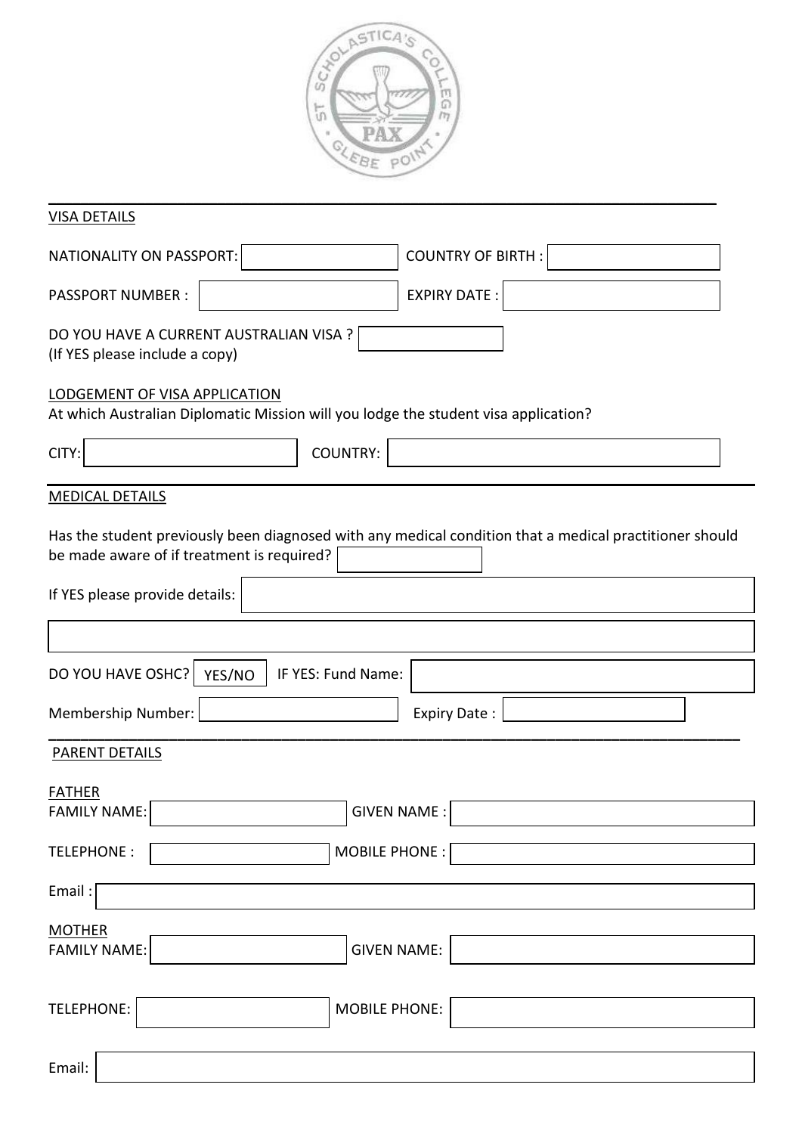

| <b>VISA DETAILS</b>                                                                                                                                   |
|-------------------------------------------------------------------------------------------------------------------------------------------------------|
| <b>COUNTRY OF BIRTH:</b><br>NATIONALITY ON PASSPORT:                                                                                                  |
| <b>EXPIRY DATE:</b><br><b>PASSPORT NUMBER:</b>                                                                                                        |
| DO YOU HAVE A CURRENT AUSTRALIAN VISA ?<br>(If YES please include a copy)                                                                             |
| LODGEMENT OF VISA APPLICATION<br>At which Australian Diplomatic Mission will you lodge the student visa application?                                  |
| COUNTRY:<br>CITY:                                                                                                                                     |
| <b>MEDICAL DETAILS</b>                                                                                                                                |
| Has the student previously been diagnosed with any medical condition that a medical practitioner should<br>be made aware of if treatment is required? |
| If YES please provide details:                                                                                                                        |
|                                                                                                                                                       |
| DO YOU HAVE OSHC?<br>IF YES: Fund Name:<br>YES/NO                                                                                                     |
| Membership Number:<br><b>Expiry Date:</b>                                                                                                             |
| <b>PARENT DETAILS</b>                                                                                                                                 |
| <u>FATHER</u><br><b>FAMILY NAME:</b><br><b>GIVEN NAME:</b>                                                                                            |
| <b>MOBILE PHONE:</b><br>TELEPHONE:                                                                                                                    |
| Email:                                                                                                                                                |
| <b>MOTHER</b>                                                                                                                                         |
| <b>FAMILY NAME:</b><br><b>GIVEN NAME:</b>                                                                                                             |
| TELEPHONE:<br><b>MOBILE PHONE:</b>                                                                                                                    |
| Email:                                                                                                                                                |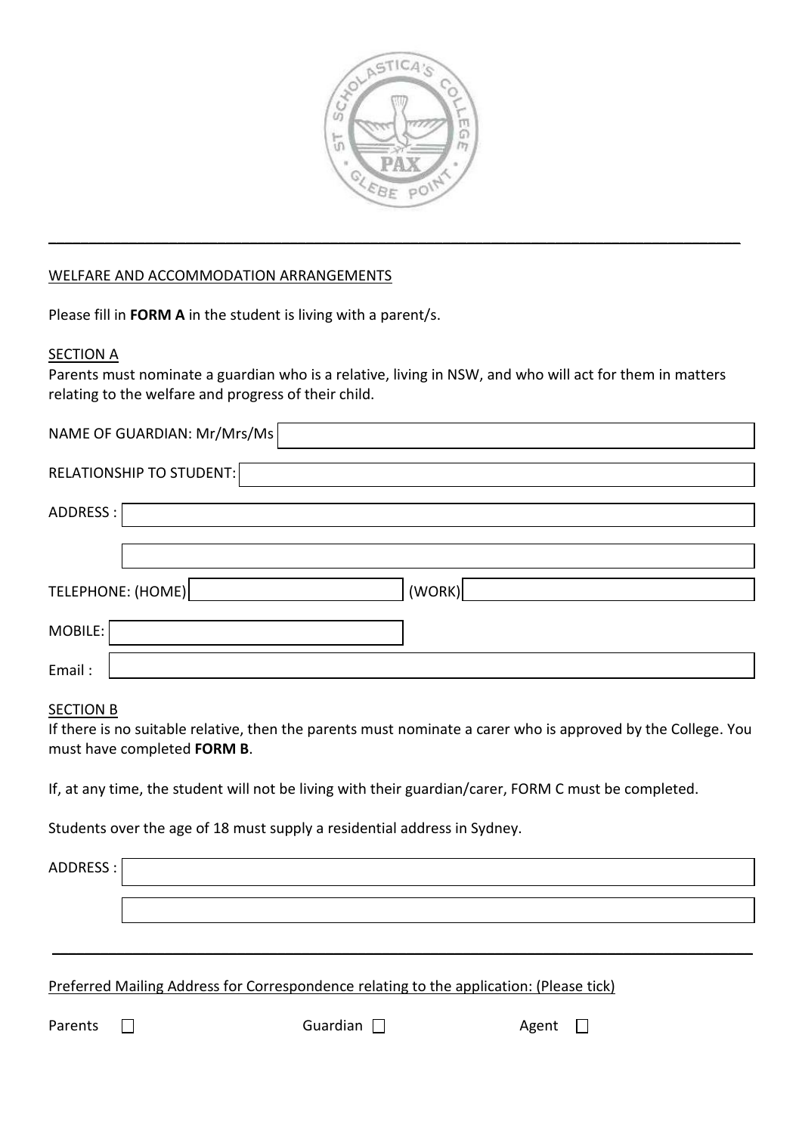

**\_\_\_\_\_\_\_\_\_\_\_\_\_\_\_\_\_\_\_\_\_\_\_\_\_\_\_\_\_\_\_\_\_\_\_\_\_\_\_\_\_\_\_\_\_\_\_\_\_\_\_\_\_\_\_\_\_\_\_\_\_\_\_\_\_\_\_\_\_\_\_\_\_\_\_\_\_\_\_\_\_\_\_\_\_\_**

## WELFARE AND ACCOMMODATION ARRANGEMENTS

Please fill in **FORM A** in the student is living with a parent/s.

### **SECTION A**

Parents must nominate a guardian who is a relative, living in NSW, and who will act for them in matters relating to the welfare and progress of their child.

| NAME OF GUARDIAN: Mr/Mrs/Ms     |        |
|---------------------------------|--------|
| <b>RELATIONSHIP TO STUDENT:</b> |        |
| ADDRESS :                       |        |
|                                 |        |
| TELEPHONE: (HOME)               | (WORK) |
| MOBILE:                         |        |
| Email:                          |        |

### SECTION B

If there is no suitable relative, then the parents must nominate a carer who is approved by the College. You must have completed **FORM B**.

**\_\_\_\_\_\_\_\_\_\_\_\_\_\_\_\_\_\_\_\_\_\_\_\_\_\_\_\_\_\_\_\_\_\_\_\_\_\_\_\_\_\_\_\_\_\_\_\_\_\_\_\_\_\_\_\_\_\_\_\_\_\_\_\_\_\_\_\_\_\_\_\_\_\_\_\_\_\_\_\_\_\_\_\_\_\_\_**

If, at any time, the student will not be living with their guardian/carer, FORM C must be completed.

Students over the age of 18 must supply a residential address in Sydney.

ADDRESS :

Preferred Mailing Address for Correspondence relating to the application: (Please tick)

Parents  $\Box$  Guardian  $\Box$  Agent  $\Box$